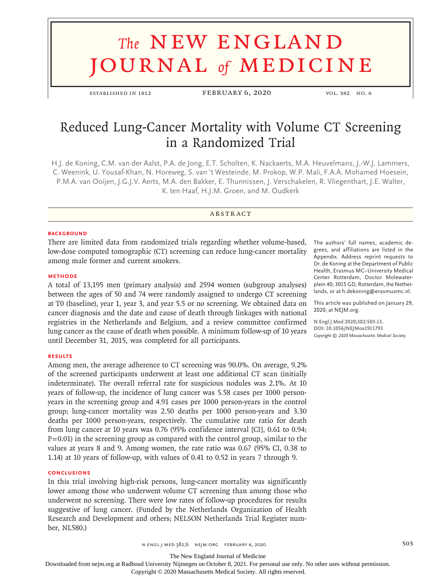# **The NEW ENGLAND** journal *of* medicine

ESTABLISHED IN 1812 FEBRUARY 6, 2020 VOL. 382 NO. 6

# Reduced Lung-Cancer Mortality with Volume CT Screening in a Randomized Trial

H.J. de Koning, C.M. van der Aalst, P.A. de Jong, E.T. Scholten, K. Nackaerts, M.A. Heuvelmans, J.-W.J. Lammers, C. Weenink, U. Yousaf-Khan, N. Horeweg, S. van 't Westeinde, M. Prokop, W.P. Mali, F.A.A. Mohamed Hoesein, P.M.A. van Ooijen, J.G.J.V. Aerts, M.A. den Bakker, E. Thunnissen, J. Verschakelen, R. Vliegenthart, J.E. Walter, K. ten Haaf, H.J.M. Groen, and M. Oudkerk

# **ABSTRACT**

#### **BACKGROUND**

There are limited data from randomized trials regarding whether volume-based, low-dose computed tomographic (CT) screening can reduce lung-cancer mortality among male former and current smokers.

#### **METHODS**

A total of 13,195 men (primary analysis) and 2594 women (subgroup analyses) between the ages of 50 and 74 were randomly assigned to undergo CT screening at T0 (baseline), year 1, year 3, and year 5.5 or no screening. We obtained data on cancer diagnosis and the date and cause of death through linkages with national registries in the Netherlands and Belgium, and a review committee confirmed lung cancer as the cause of death when possible. A minimum follow-up of 10 years until December 31, 2015, was completed for all participants.

#### **RESULTS**

Among men, the average adherence to CT screening was 90.0%. On average, 9.2% of the screened participants underwent at least one additional CT scan (initially indeterminate). The overall referral rate for suspicious nodules was 2.1%. At 10 years of follow-up, the incidence of lung cancer was 5.58 cases per 1000 personyears in the screening group and 4.91 cases per 1000 person-years in the control group; lung-cancer mortality was 2.50 deaths per 1000 person-years and 3.30 deaths per 1000 person-years, respectively. The cumulative rate ratio for death from lung cancer at 10 years was 0.76 (95% confidence interval [CI], 0.61 to 0.94;  $P=0.01$ ) in the screening group as compared with the control group, similar to the values at years 8 and 9. Among women, the rate ratio was 0.67 (95% CI, 0.38 to 1.14) at 10 years of follow-up, with values of 0.41 to 0.52 in years 7 through 9.

## **CONCLUSIONS**

In this trial involving high-risk persons, lung-cancer mortality was significantly lower among those who underwent volume CT screening than among those who underwent no screening. There were low rates of follow-up procedures for results suggestive of lung cancer. (Funded by the Netherlands Organization of Health Research and Development and others; NELSON Netherlands Trial Register number, NL580.)

The authors' full names, academic degrees, and affiliations are listed in the Appendix. Address reprint requests to Dr. de Koning at the Department of Public Health, Erasmus MC–University Medical Center Rotterdam, Doctor Molewaterplein 40, 3015 GD, Rotterdam, the Netherlands, or at h.dekoning@erasmusmc.nl.

This article was published on January 29, 2020, at NEJM.org.

**N Engl J Med 2020;382:503-13. DOI: 10.1056/NEJMoa1911793** *Copyright © 2020 Massachusetts Medical Society.*

n engl j med 382;6 nejm.org February 6, 2020 503

The New England Journal of Medicine

Downloaded from nejm.org at Radboud University Nijmegen on October 8, 2021. For personal use only. No other uses without permission.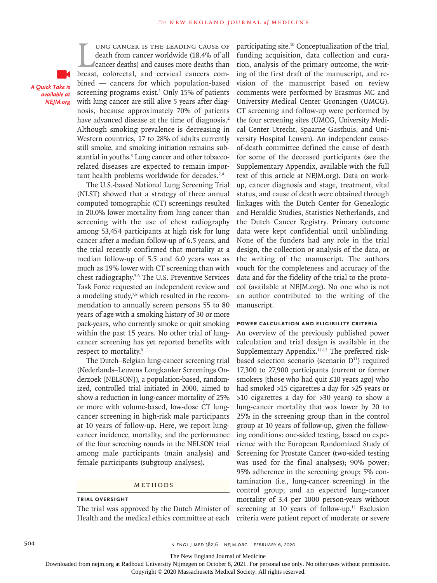*A Quick Take is available at NEJM.org*

UNG CANCER IS THE LEADING CAUSE OF<br>death from cancer worldwide (18.4% of all<br>cancer deaths) and causes more deaths than<br>breast, colorectal, and cervical cancers comung cancer is the leading cause of death from cancer worldwide (18.4% of all cancer deaths) and causes more deaths than bined — cancers for which population-based screening programs exist. $1$  Only 15% of patients with lung cancer are still alive 5 years after diagnosis, because approximately 70% of patients have advanced disease at the time of diagnosis.<sup>2</sup> Although smoking prevalence is decreasing in Western countries, 17 to 28% of adults currently still smoke, and smoking initiation remains substantial in youths.<sup>3</sup> Lung cancer and other tobaccorelated diseases are expected to remain important health problems worldwide for decades.<sup>2,4</sup>

The U.S.-based National Lung Screening Trial (NLST) showed that a strategy of three annual computed tomographic (CT) screenings resulted in 20.0% lower mortality from lung cancer than screening with the use of chest radiography among 53,454 participants at high risk for lung cancer after a median follow-up of 6.5 years, and the trial recently confirmed that mortality at a median follow-up of 5.5 and 6.0 years was as much as 19% lower with CT screening than with chest radiography.5,6 The U.S. Preventive Services Task Force requested an independent review and a modeling study,<sup>7,8</sup> which resulted in the recommendation to annually screen persons 55 to 80 years of age with a smoking history of 30 or more pack-years, who currently smoke or quit smoking within the past 15 years. No other trial of lungcancer screening has yet reported benefits with respect to mortality.<sup>9</sup>

The Dutch–Belgian lung-cancer screening trial (Nederlands–Leuvens Longkanker Screenings Onderzoek [NELSON]), a population-based, randomized, controlled trial initiated in 2000, aimed to show a reduction in lung-cancer mortality of 25% or more with volume-based, low-dose CT lungcancer screening in high-risk male participants at 10 years of follow-up. Here, we report lungcancer incidence, mortality, and the performance of the four screening rounds in the NELSON trial among male participants (main analysis) and female participants (subgroup analyses).

#### Methods

#### **Trial Oversight**

The trial was approved by the Dutch Minister of Health and the medical ethics committee at each

participating site.10 Conceptualization of the trial, funding acquisition, data collection and curation, analysis of the primary outcome, the writing of the first draft of the manuscript, and revision of the manuscript based on review comments were performed by Erasmus MC and University Medical Center Groningen (UMCG). CT screening and follow-up were performed by the four screening sites (UMCG, University Medical Center Utrecht, Spaarne Gasthuis, and University Hospital Leuven). An independent causeof-death committee defined the cause of death for some of the deceased participants (see the Supplementary Appendix, available with the full text of this article at NEJM.org). Data on workup, cancer diagnosis and stage, treatment, vital status, and cause of death were obtained through linkages with the Dutch Center for Genealogic and Heraldic Studies, Statistics Netherlands, and the Dutch Cancer Registry. Primary outcome data were kept confidential until unblinding. None of the funders had any role in the trial design, the collection or analysis of the data, or the writing of the manuscript. The authors vouch for the completeness and accuracy of the data and for the fidelity of the trial to the protocol (available at NEJM.org). No one who is not an author contributed to the writing of the manuscript.

#### **Power Calculation and Eligibility Criteria**

An overview of the previously published power calculation and trial design is available in the Supplementary Appendix.<sup>11-13</sup> The preferred riskbased selection scenario (scenario  $D<sup>11</sup>$ ) required 17,300 to 27,900 participants (current or former smokers [those who had quit ≤10 years ago] who had smoked >15 cigarettes a day for >25 years or >10 cigarettes a day for >30 years) to show a lung-cancer mortality that was lower by 20 to 25% in the screening group than in the control group at 10 years of follow-up, given the following conditions: one-sided testing, based on experience with the European Randomized Study of Screening for Prostate Cancer (two-sided testing was used for the final analyses); 90% power; 95% adherence in the screening group; 5% contamination (i.e., lung-cancer screening) in the control group; and an expected lung-cancer mortality of 3.4 per 1000 person-years without screening at 10 years of follow-up. $11$  Exclusion criteria were patient report of moderate or severe

504 n engl j med 382;6 nejm.org February 6, 2020

The New England Journal of Medicine

Downloaded from nejm.org at Radboud University Nijmegen on October 8, 2021. For personal use only. No other uses without permission.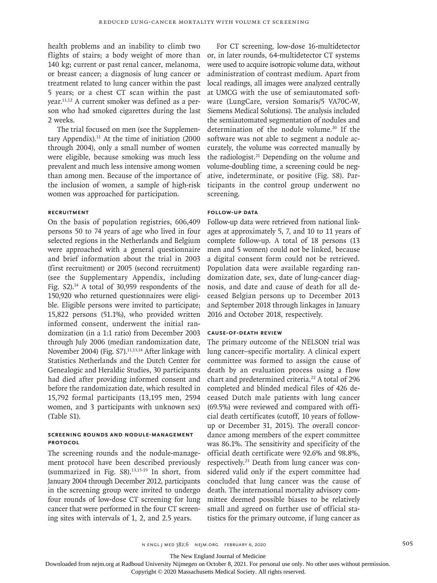health problems and an inability to climb two flights of stairs; a body weight of more than 140 kg; current or past renal cancer, melanoma, or breast cancer; a diagnosis of lung cancer or treatment related to lung cancer within the past 5 years; or a chest CT scan within the past year.11,12 A current smoker was defined as a person who had smoked cigarettes during the last 2 weeks.

The trial focused on men (see the Supplementary Appendix). $11$  At the time of initiation (2000 through 2004), only a small number of women were eligible, because smoking was much less prevalent and much less intensive among women than among men. Because of the importance of the inclusion of women, a sample of high-risk women was approached for participation.

# **Recruitment**

On the basis of population registries, 606,409 persons 50 to 74 years of age who lived in four selected regions in the Netherlands and Belgium were approached with a general questionnaire and brief information about the trial in 2003 (first recruitment) or 2005 (second recruitment) (see the Supplementary Appendix, including Fig. S2).14 A total of 30,959 respondents of the 150,920 who returned questionnaires were eligible. Eligible persons were invited to participate; 15,822 persons (51.1%), who provided written informed consent, underwent the initial randomization (in a 1:1 ratio) from December 2003 through July 2006 (median randomization date, November 2004) (Fig. S7).<sup>11,13,14</sup> After linkage with Statistics Netherlands and the Dutch Center for Genealogic and Heraldic Studies, 30 participants had died after providing informed consent and before the randomization date, which resulted in 15,792 formal participants (13,195 men, 2594 women, and 3 participants with unknown sex) (Table S1).

# **Screening Rounds and Nodule-Management Protocol**

The screening rounds and the nodule-management protocol have been described previously (summarized in Fig.  $S8$ ).<sup>13,15-19</sup> In short, from January 2004 through December 2012, participants in the screening group were invited to undergo four rounds of low-dose CT screening for lung cancer that were performed in the four CT screening sites with intervals of 1, 2, and 2.5 years.

For CT screening, low-dose 16-multidetector or, in later rounds, 64-multidetector CT systems were used to acquire isotropic volume data, without administration of contrast medium. Apart from local readings, all images were analyzed centrally at UMCG with the use of semiautomated software (LungCare, version Somaris/5 VA70C-W, Siemens Medical Solutions). The analysis included the semiautomated segmentation of nodules and determination of the nodule volume.<sup>20</sup> If the software was not able to segment a nodule accurately, the volume was corrected manually by the radiologist.21 Depending on the volume and volume-doubling time, a screening could be negative, indeterminate, or positive (Fig. S8). Participants in the control group underwent no screening.

#### **Follow-up Data**

Follow-up data were retrieved from national linkages at approximately 5, 7, and 10 to 11 years of complete follow-up. A total of 18 persons (13 men and 5 women) could not be linked, because a digital consent form could not be retrieved. Population data were available regarding randomization date, sex, date of lung-cancer diagnosis, and date and cause of death for all deceased Belgian persons up to December 2013 and September 2018 through linkages in January 2016 and October 2018, respectively.

#### **Cause-of-Death Review**

The primary outcome of the NELSON trial was lung cancer–specific mortality. A clinical expert committee was formed to assign the cause of death by an evaluation process using a flow chart and predetermined criteria.<sup>22</sup> A total of 296 completed and blinded medical files of 426 deceased Dutch male patients with lung cancer (69.5%) were reviewed and compared with official death certificates (cutoff, 10 years of followup or December 31, 2015). The overall concordance among members of the expert committee was 86.1%. The sensitivity and specificity of the official death certificate were 92.6% and 98.8%, respectively.23 Death from lung cancer was considered valid only if the expert committee had concluded that lung cancer was the cause of death. The international mortality advisory committee deemed possible biases to be relatively small and agreed on further use of official statistics for the primary outcome, if lung cancer as

The New England Journal of Medicine

Downloaded from nejm.org at Radboud University Nijmegen on October 8, 2021. For personal use only. No other uses without permission.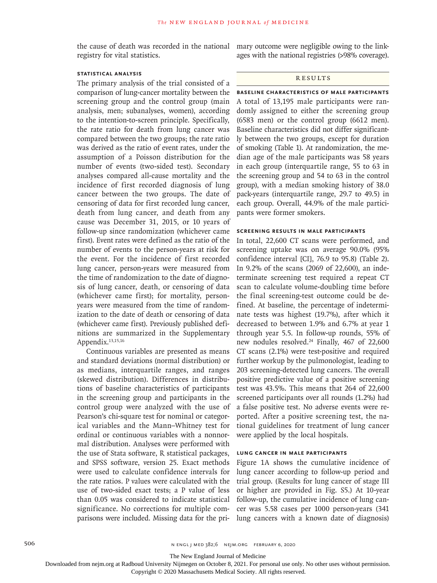registry for vital statistics.

# **Statistical Analysis**

The primary analysis of the trial consisted of a comparison of lung-cancer mortality between the screening group and the control group (main analysis, men; subanalyses, women), according to the intention-to-screen principle. Specifically, the rate ratio for death from lung cancer was compared between the two groups; the rate ratio was derived as the ratio of event rates, under the assumption of a Poisson distribution for the number of events (two-sided test). Secondary analyses compared all-cause mortality and the incidence of first recorded diagnosis of lung cancer between the two groups. The date of censoring of data for first recorded lung cancer, death from lung cancer, and death from any cause was December 31, 2015, or 10 years of follow-up since randomization (whichever came first). Event rates were defined as the ratio of the number of events to the person-years at risk for the event. For the incidence of first recorded lung cancer, person-years were measured from the time of randomization to the date of diagnosis of lung cancer, death, or censoring of data (whichever came first); for mortality, personyears were measured from the time of randomization to the date of death or censoring of data (whichever came first). Previously published definitions are summarized in the Supplementary Appendix.<sup>13,15,16</sup>

Continuous variables are presented as means and standard deviations (normal distribution) or as medians, interquartile ranges, and ranges (skewed distribution). Differences in distributions of baseline characteristics of participants in the screening group and participants in the control group were analyzed with the use of Pearson's chi-square test for nominal or categorical variables and the Mann–Whitney test for ordinal or continuous variables with a nonnormal distribution. Analyses were performed with the use of Stata software, R statistical packages, and SPSS software, version 25. Exact methods were used to calculate confidence intervals for the rate ratios. P values were calculated with the use of two-sided exact tests; a P value of less than 0.05 was considered to indicate statistical significance. No corrections for multiple comparisons were included. Missing data for the pri-

the cause of death was recorded in the national mary outcome were negligible owing to the linkages with the national registries (>98% coverage).

#### **RESULTS**

**Baseline Characteristics of Male Participants** A total of 13,195 male participants were randomly assigned to either the screening group (6583 men) or the control group (6612 men). Baseline characteristics did not differ significantly between the two groups, except for duration of smoking (Table 1). At randomization, the median age of the male participants was 58 years in each group (interquartile range, 55 to 63 in the screening group and 54 to 63 in the control group), with a median smoking history of 38.0 pack-years (interquartile range, 29.7 to 49.5) in each group. Overall, 44.9% of the male participants were former smokers.

# **Screening Results in Male Participants**

In total, 22,600 CT scans were performed, and screening uptake was on average 90.0% (95% confidence interval [CI], 76.9 to 95.8) (Table 2). In 9.2% of the scans (2069 of 22,600), an indeterminate screening test required a repeat CT scan to calculate volume-doubling time before the final screening-test outcome could be defined. At baseline, the percentage of indeterminate tests was highest (19.7%), after which it decreased to between 1.9% and 6.7% at year 1 through year 5.5. In follow-up rounds, 55% of new nodules resolved.<sup>24</sup> Finally, 467 of 22,600 CT scans (2.1%) were test-positive and required further workup by the pulmonologist, leading to 203 screening-detected lung cancers. The overall positive predictive value of a positive screening test was 43.5%. This means that 264 of 22,600 screened participants over all rounds (1.2%) had a false positive test. No adverse events were reported. After a positive screening test, the national guidelines for treatment of lung cancer were applied by the local hospitals.

# **Lung Cancer in Male Participants**

Figure 1A shows the cumulative incidence of lung cancer according to follow-up period and trial group. (Results for lung cancer of stage III or higher are provided in Fig. S5.) At 10-year follow-up, the cumulative incidence of lung cancer was 5.58 cases per 1000 person-years (341 lung cancers with a known date of diagnosis)

The New England Journal of Medicine

Downloaded from nejm.org at Radboud University Nijmegen on October 8, 2021. For personal use only. No other uses without permission.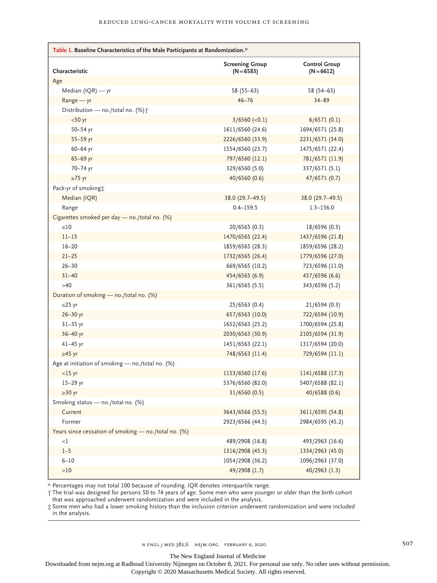| Table 1. Baseline Characteristics of the Male Participants at Randomization.* |                                        |                                      |  |  |
|-------------------------------------------------------------------------------|----------------------------------------|--------------------------------------|--|--|
|                                                                               |                                        |                                      |  |  |
| Characteristic                                                                | <b>Screening Group</b><br>$(N = 6583)$ | <b>Control Group</b><br>$(N = 6612)$ |  |  |
| Age                                                                           |                                        |                                      |  |  |
| Median (IQR) - yr                                                             | $58(55-63)$                            | $58(54-63)$                          |  |  |
| Range - yr                                                                    | $46 - 76$                              | $34 - 89$                            |  |  |
| Distribution - no./total no. (%) +                                            |                                        |                                      |  |  |
| $<$ 50 yr                                                                     | $3/6560$ (<0.1)                        | 6/6571(0.1)                          |  |  |
| 50-54 yr                                                                      | 1611/6560 (24.6)                       | 1694/6571 (25.8)                     |  |  |
| 55-59 yr                                                                      | 2226/6560 (33.9)                       | 2231/6571 (34.0)                     |  |  |
| 60-64 yr                                                                      | 1554/6560 (23.7)                       | 1475/6571 (22.4)                     |  |  |
| 65-69 yr                                                                      | 797/6560 (12.1)                        | 781/6571 (11.9)                      |  |  |
| 70-74 yr                                                                      | 329/6560 (5.0)                         | 337/6571 (5.1)                       |  |  |
| $\geq 75$ yr                                                                  | 40/6560 (0.6)                          | 47/6571 (0.7)                        |  |  |
| Pack-yr of smoking;                                                           |                                        |                                      |  |  |
| Median (IQR)                                                                  | 38.0 (29.7-49.5)                       | 38.0 (29.7-49.5)                     |  |  |
| Range                                                                         | $0.4 - 159.5$                          | $1.3 - 156.0$                        |  |  |
| Cigarettes smoked per day - no./total no. (%)                                 |                                        |                                      |  |  |
| $\leq 10$                                                                     | 20/6565(0.3)                           | 18/6596 (0.3)                        |  |  |
| $11 - 15$                                                                     | 1470/6565 (22.4)                       | 1437/6596 (21.8)                     |  |  |
| $16 - 20$                                                                     | 1859/6565 (28.3)                       | 1859/6596 (28.2)                     |  |  |
| $21 - 25$                                                                     | 1732/6565 (26.4)                       | 1779/6596 (27.0)                     |  |  |
| $26 - 30$                                                                     | 669/6565 (10.2)                        | 723/6596 (11.0)                      |  |  |
| $31 - 40$                                                                     | 454/6565 (6.9)                         | 437/6596 (6.6)                       |  |  |
| $>40$                                                                         | 361/6565 (5.5)                         | 343/6596 (5.2)                       |  |  |
| Duration of smoking - no./total no. (%)                                       |                                        |                                      |  |  |
| ≤25 yr                                                                        | 25/6563(0.4)                           | 21/6594(0.3)                         |  |  |
| $26 - 30$ yr                                                                  | 657/6563 (10.0)                        | 722/6594 (10.9)                      |  |  |
| $31 - 35$ yr                                                                  | 1652/6563 (25.2)                       | 1700/6594 (25.8)                     |  |  |
| 36-40 yr                                                                      | 2030/6563 (30.9)                       | 2105/6594 (31.9)                     |  |  |
| $41 - 45$ yr                                                                  | 1451/6563 (22.1)                       | 1317/6594 (20.0)                     |  |  |
| $\geq 45$ yr                                                                  | 748/6563 (11.4)                        | 729/6594 (11.1)                      |  |  |
| Age at initiation of smoking - no./total no. (%)                              |                                        |                                      |  |  |
| $<$ 15 yr                                                                     | 1153/6560 (17.6)                       | 1141/6588 (17.3)                     |  |  |
| 15-29 yr                                                                      | 5376/6560 (82.0)                       | 5407/6588 (82.1)                     |  |  |
| $\geq$ 30 yr                                                                  | 31/6560(0.5)                           | 40/6588 (0.6)                        |  |  |
| Smoking status - no./total no. (%)                                            |                                        |                                      |  |  |
| Current                                                                       | 3643/6566 (55.5)                       | 3611/6595 (54.8)                     |  |  |
| Former                                                                        | 2923/6566 (44.5)                       | 2984/6595 (45.2)                     |  |  |
| Years since cessation of smoking - no./total no. (%)                          |                                        |                                      |  |  |
| $<$ l                                                                         | 489/2908 (16.8)                        | 493/2963 (16.6)                      |  |  |
| $1 - 5$                                                                       | 1316/2908 (45.3)                       | 1334/2963 (45.0)                     |  |  |
| $6 - 10$                                                                      | 1054/2908 (36.2)                       | 1096/2963 (37.0)                     |  |  |
| $>10$                                                                         | 49/2908 (1.7)                          | $40/2963$ (1.3)                      |  |  |

\* Percentages may not total 100 because of rounding. IQR denotes interquartile range.

† The trial was designed for persons 50 to 74 years of age. Some men who were younger or older than the birth cohort that was approached underwent randomization and were included in the analysis.

‡ Some men who had a lower smoking history than the inclusion criterion underwent randomization and were included in the analysis.

The New England Journal of Medicine

Downloaded from nejm.org at Radboud University Nijmegen on October 8, 2021. For personal use only. No other uses without permission.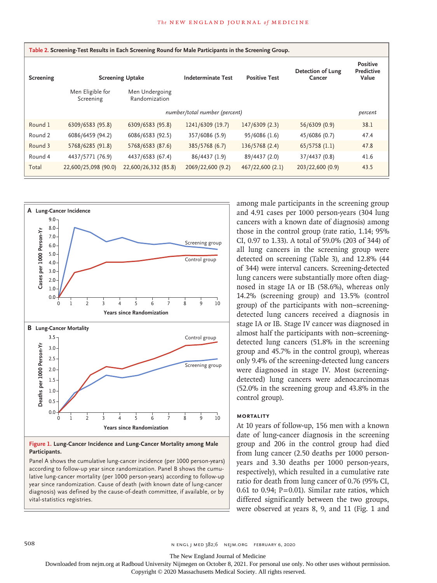| Table 2. Screening-Test Results in Each Screening Round for Male Participants in the Screening Group. |                               |                                 |                               |                      |                             |                                        |
|-------------------------------------------------------------------------------------------------------|-------------------------------|---------------------------------|-------------------------------|----------------------|-----------------------------|----------------------------------------|
| Screening                                                                                             | <b>Screening Uptake</b>       |                                 | <b>Indeterminate Test</b>     | <b>Positive Test</b> | Detection of Lung<br>Cancer | <b>Positive</b><br>Predictive<br>Value |
|                                                                                                       | Men Eligible for<br>Screening | Men Undergoing<br>Randomization |                               |                      |                             |                                        |
|                                                                                                       |                               |                                 | number/total number (percent) |                      |                             | percent                                |
| Round 1                                                                                               | 6309/6583 (95.8)              | 6309/6583 (95.8)                | 1241/6309 (19.7)              | 147/6309 (2.3)       | 56/6309 (0.9)               | 38.1                                   |
| Round 2                                                                                               | 6086/6459 (94.2)              | 6086/6583 (92.5)                | 357/6086 (5.9)                | 95/6086 (1.6)        | 45/6086 (0.7)               | 47.4                                   |
| Round 3                                                                                               | 5768/6285 (91.8)              | 5768/6583 (87.6)                | 385/5768 (6.7)                | 136/5768 (2.4)       | $65/5758$ (1.1)             | 47.8                                   |
| Round 4                                                                                               | 4437/5771 (76.9)              | 4437/6583 (67.4)                | 86/4437 (1.9)                 | 89/4437 (2.0)        | 37/4437 (0.8)               | 41.6                                   |
| Total                                                                                                 | 22,600/25,098 (90.0)          | 22,600/26,332 (85.8)            | 2069/22,600 (9.2)             | 467/22,600 (2.1)     | 203/22,600 (0.9)            | 43.5                                   |



# **Figure 1. Lung-Cancer Incidence and Lung-Cancer Mortality among Male Participants.**

Panel A shows the cumulative lung-cancer incidence (per 1000 person-years) according to follow-up year since randomization. Panel B shows the cumulative lung-cancer mortality (per 1000 person-years) according to follow-up year since randomization. Cause of death (with known date of lung-cancer diagnosis) was defined by the cause-of-death committee, if available, or by

among male participants in the screening group and 4.91 cases per 1000 person-years (304 lung cancers with a known date of diagnosis) among those in the control group (rate ratio, 1.14; 95% CI, 0.97 to 1.33). A total of 59.0% (203 of 344) of all lung cancers in the screening group were detected on screening (Table 3), and 12.8% (44 of 344) were interval cancers. Screening-detected lung cancers were substantially more often diagnosed in stage IA or IB (58.6%), whereas only 14.2% (screening group) and 13.5% (control group) of the participants with non–screeningdetected lung cancers received a diagnosis in stage IA or IB. Stage IV cancer was diagnosed in almost half the participants with non–screeningdetected lung cancers (51.8% in the screening group and 45.7% in the control group), whereas only 9.4% of the screening-detected lung cancers were diagnosed in stage IV. Most (screeningdetected) lung cancers were adenocarcinomas (52.0% in the screening group and 43.8% in the control group).

# **Mortality**

At 10 years of follow-up, 156 men with a known date of lung-cancer diagnosis in the screening group and 206 in the control group had died from lung cancer (2.50 deaths per 1000 personyears and 3.30 deaths per 1000 person-years, respectively), which resulted in a cumulative rate ratio for death from lung cancer of 0.76 (95% CI, 0.61 to 0.94;  $P=0.01$ ). Similar rate ratios, which differed significantly between the two groups, were observed at years 8, 9, and 11 (Fig. 1 and

508 n engl j med 382;6 nejm.org February 6, 2020

The New England Journal of Medicine

Downloaded from nejm.org at Radboud University Nijmegen on October 8, 2021. For personal use only. No other uses without permission.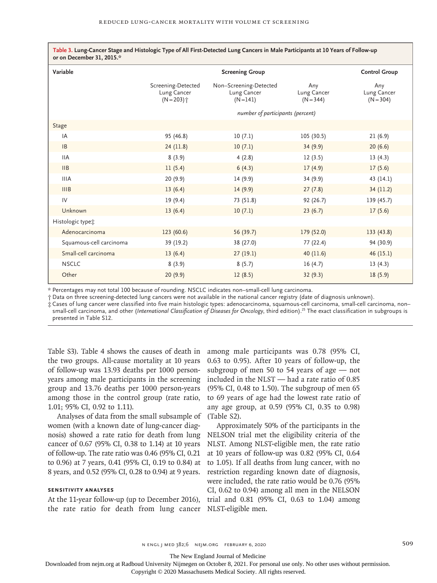| Variable                |                                                               | <b>Screening Group</b>                             |                                   | <b>Control Group</b>              |  |
|-------------------------|---------------------------------------------------------------|----------------------------------------------------|-----------------------------------|-----------------------------------|--|
|                         | Screening-Detected<br>Lung Cancer<br>$(N = 203)$ <sup>+</sup> | Non-Screening-Detected<br>Lung Cancer<br>$(N=141)$ | Any<br>Lung Cancer<br>$(N = 344)$ | Any<br>Lung Cancer<br>$(N = 304)$ |  |
|                         |                                                               | number of participants (percent)                   |                                   |                                   |  |
| <b>Stage</b>            |                                                               |                                                    |                                   |                                   |  |
| IA                      | 95 (46.8)                                                     | 10(7.1)                                            | 105 (30.5)                        | 21(6.9)                           |  |
| B                       | 24 (11.8)                                                     | 10(7.1)                                            | 34(9.9)                           | 20(6.6)                           |  |
| <b>IIA</b>              | 8(3.9)                                                        | 4(2.8)                                             | 12(3.5)                           | 13(4.3)                           |  |
| IIB                     | 11(5.4)                                                       | 6(4.3)                                             | 17(4.9)                           | 17(5.6)                           |  |
| <b>IIIA</b>             | 20(9.9)                                                       | 14(9.9)                                            | 34 (9.9)                          | 43 (14.1)                         |  |
| <b>IIIB</b>             | 13(6.4)                                                       | 14(9.9)                                            | 27(7.8)                           | 34 (11.2)                         |  |
| IV                      | 19(9.4)                                                       | 73 (51.8)                                          | 92(26.7)                          | 139 (45.7)                        |  |
| Unknown                 | 13(6.4)                                                       | 10(7.1)                                            | 23(6.7)                           | 17(5.6)                           |  |
| Histologic type;        |                                                               |                                                    |                                   |                                   |  |
| Adenocarcinoma          | 123(60.6)                                                     | 56 (39.7)                                          | 179 (52.0)                        | 133(43.8)                         |  |
| Squamous-cell carcinoma | 39 (19.2)                                                     | 38 (27.0)                                          | 77 (22.4)                         | 94 (30.9)                         |  |
| Small-cell carcinoma    | 13(6.4)                                                       | 27(19.1)                                           | 40(11.6)                          | 46 (15.1)                         |  |
| <b>NSCLC</b>            | 8(3.9)                                                        | 8(5.7)                                             | 16(4.7)                           | 13(4.3)                           |  |
| Other                   | 20(9.9)                                                       | 12(8.5)                                            | 32(9.3)                           | 18(5.9)                           |  |

**Table 3. Lung-Cancer Stage and Histologic Type of All First-Detected Lung Cancers in Male Participants at 10 Years of Follow-up** 

\* Percentages may not total 100 because of rounding. NSCLC indicates non–small-cell lung carcinoma.

† Data on three screening-detected lung cancers were not available in the national cancer registry (date of diagnosis unknown).

‡ Cases of lung cancer were classified into five main histologic types: adenocarcinoma, squamous-cell carcinoma, small-cell carcinoma, non– small-cell carcinoma, and other (*International Classification of Diseases for Oncology*, third edition).25 The exact classification in subgroups is presented in Table S12.

Table S3). Table 4 shows the causes of death in the two groups. All-cause mortality at 10 years of follow-up was 13.93 deaths per 1000 personyears among male participants in the screening group and 13.76 deaths per 1000 person-years among those in the control group (rate ratio, 1.01; 95% CI, 0.92 to 1.11).

Analyses of data from the small subsample of (Table S2). women (with a known date of lung-cancer diagnosis) showed a rate ratio for death from lung cancer of 0.67 (95% CI, 0.38 to 1.14) at 10 years of follow-up. The rate ratio was 0.46 (95% CI, 0.21 to 0.96) at 7 years, 0.41 (95% CI, 0.19 to 0.84) at 8 years, and 0.52 (95% CI, 0.28 to 0.94) at 9 years.

# **Sensitivity Analyses**

the rate ratio for death from lung cancer NLST-eligible men.

among male participants was 0.78 (95% CI, 0.63 to 0.95). After 10 years of follow-up, the subgroup of men 50 to 54 years of age — not included in the NLST — had a rate ratio of 0.85 (95% CI, 0.48 to 1.50). The subgroup of men 65 to 69 years of age had the lowest rate ratio of any age group, at 0.59 (95% CI, 0.35 to 0.98)

At the 11-year follow-up (up to December 2016), trial and 0.81 (95% CI, 0.63 to 1.04) among Approximately 50% of the participants in the NELSON trial met the eligibility criteria of the NLST. Among NLST-eligible men, the rate ratio at 10 years of follow-up was 0.82 (95% CI, 0.64 to 1.05). If all deaths from lung cancer, with no restriction regarding known date of diagnosis, were included, the rate ratio would be 0.76 (95% CI, 0.62 to 0.94) among all men in the NELSON

n engl j med 382;6 nejm.org February 6, 2020 509

The New England Journal of Medicine

Downloaded from nejm.org at Radboud University Nijmegen on October 8, 2021. For personal use only. No other uses without permission.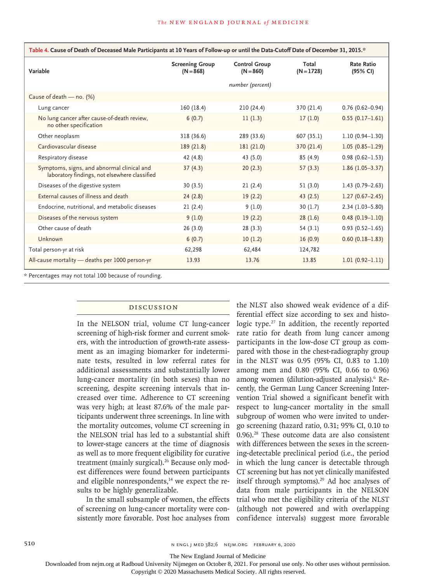| Table 4. Cause of Death of Deceased Male Participants at 10 Years of Follow-up or until the Data-Cutoff Date of December 31, 2015.* |                                       |                                     |                       |                               |  |
|-------------------------------------------------------------------------------------------------------------------------------------|---------------------------------------|-------------------------------------|-----------------------|-------------------------------|--|
| Variable                                                                                                                            | <b>Screening Group</b><br>$(N = 868)$ | <b>Control Group</b><br>$(N = 860)$ | Total<br>$(N = 1728)$ | <b>Rate Ratio</b><br>(95% CI) |  |
|                                                                                                                                     |                                       | number (percent)                    |                       |                               |  |
| Cause of death - no. (%)                                                                                                            |                                       |                                     |                       |                               |  |
| Lung cancer                                                                                                                         | 160(18.4)                             | 210 (24.4)                          | 370 (21.4)            | $0.76(0.62 - 0.94)$           |  |
| No lung cancer after cause-of-death review,<br>no other specification                                                               | 6(0.7)                                | 11(1.3)                             | 17(1.0)               | $0.55(0.17-1.61)$             |  |
| Other neoplasm                                                                                                                      | 318 (36.6)                            | 289 (33.6)                          | 607 (35.1)            | $1.10(0.94 - 1.30)$           |  |
| Cardiovascular disease                                                                                                              | 189 (21.8)                            | 181 (21.0)                          | 370 (21.4)            | $1.05(0.85 - 1.29)$           |  |
| Respiratory disease                                                                                                                 | 42 (4.8)                              | 43 (5.0)                            | 85(4.9)               | $0.98(0.62 - 1.53)$           |  |
| Symptoms, signs, and abnormal clinical and<br>laboratory findings, not elsewhere classified                                         | 37(4.3)                               | 20(2.3)                             | 57(3.3)               | $1.86(1.05-3.37)$             |  |
| Diseases of the digestive system                                                                                                    | 30(3.5)                               | 21(2.4)                             | 51(3.0)               | $1.43(0.79 - 2.63)$           |  |
| External causes of illness and death                                                                                                | 24(2.8)                               | 19(2.2)                             | 43(2.5)               | $1.27(0.67 - 2.45)$           |  |
| Endocrine, nutritional, and metabolic diseases                                                                                      | 21(2.4)                               | 9(1.0)                              | 30(1.7)               | $2.34(1.03 - 5.80)$           |  |
| Diseases of the nervous system                                                                                                      | 9(1.0)                                | 19(2.2)                             | 28(1.6)               | $0.48(0.19-1.10)$             |  |
| Other cause of death                                                                                                                | 26(3.0)                               | 28(3.3)                             | 54(3.1)               | $0.93(0.52 - 1.65)$           |  |
| Unknown                                                                                                                             | 6(0.7)                                | 10(1.2)                             | 16(0.9)               | $0.60(0.18-1.83)$             |  |
| Total person-yr at risk                                                                                                             | 62,298                                | 62,484                              | 124,782               |                               |  |
| All-cause mortality - deaths per 1000 person-yr                                                                                     | 13.93                                 | 13.76                               | 13.85                 | $1.01(0.92 - 1.11)$           |  |
| * Percentages may not total 100 because of rounding.                                                                                |                                       |                                     |                       |                               |  |

Discussion

In the NELSON trial, volume CT lung-cancer screening of high-risk former and current smokers, with the introduction of growth-rate assessment as an imaging biomarker for indeterminate tests, resulted in low referral rates for additional assessments and substantially lower lung-cancer mortality (in both sexes) than no screening, despite screening intervals that increased over time. Adherence to CT screening was very high; at least 87.6% of the male participants underwent three screenings. In line with the mortality outcomes, volume CT screening in the NELSON trial has led to a substantial shift to lower-stage cancers at the time of diagnosis as well as to more frequent eligibility for curative treatment (mainly surgical).<sup>26</sup> Because only modest differences were found between participants and eligible nonrespondents, $14$  we expect the results to be highly generalizable.

In the small subsample of women, the effects of screening on lung-cancer mortality were consistently more favorable. Post hoc analyses from

the NLST also showed weak evidence of a differential effect size according to sex and histologic type.<sup>27</sup> In addition, the recently reported rate ratio for death from lung cancer among participants in the low-dose CT group as compared with those in the chest-radiography group in the NLST was 0.95 (95% CI, 0.83 to 1.10) among men and 0.80 (95% CI, 0.66 to 0.96) among women (dilution-adjusted analysis).<sup>6</sup> Recently, the German Lung Cancer Screening Intervention Trial showed a significant benefit with respect to lung-cancer mortality in the small subgroup of women who were invited to undergo screening (hazard ratio, 0.31; 95% CI, 0.10 to 0.96).28 These outcome data are also consistent with differences between the sexes in the screening-detectable preclinical period (i.e., the period in which the lung cancer is detectable through CT screening but has not yet clinically manifested itself through symptoms).<sup>29</sup> Ad hoc analyses of data from male participants in the NELSON trial who met the eligibility criteria of the NLST (although not powered and with overlapping confidence intervals) suggest more favorable

510 **S10** N ENGL J MED 382;6 NEJM.ORG FEBRUARY 6, 2020

The New England Journal of Medicine

Downloaded from nejm.org at Radboud University Nijmegen on October 8, 2021. For personal use only. No other uses without permission.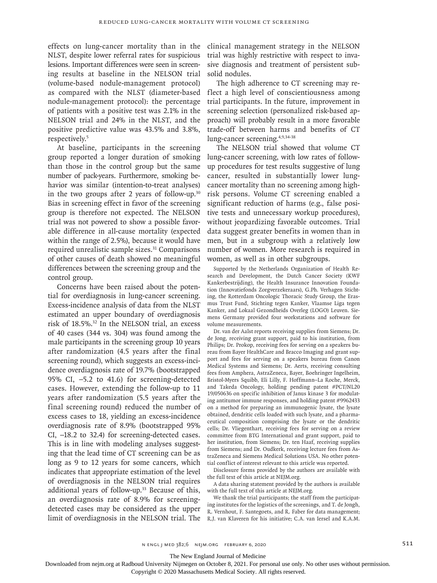effects on lung-cancer mortality than in the NLST, despite lower referral rates for suspicious lesions. Important differences were seen in screening results at baseline in the NELSON trial (volume-based nodule-management protocol) as compared with the NLST (diameter-based nodule-management protocol): the percentage of patients with a positive test was 2.1% in the NELSON trial and 24% in the NLST, and the positive predictive value was 43.5% and 3.8%, respectively.5

At baseline, participants in the screening group reported a longer duration of smoking than those in the control group but the same number of pack-years. Furthermore, smoking behavior was similar (intention-to-treat analyses) in the two groups after 2 years of follow-up. $30$ Bias in screening effect in favor of the screening group is therefore not expected. The NELSON trial was not powered to show a possible favorable difference in all-cause mortality (expected within the range of 2.5%), because it would have required unrealistic sample sizes.<sup>31</sup> Comparisons of other causes of death showed no meaningful differences between the screening group and the control group.

Concerns have been raised about the potential for overdiagnosis in lung-cancer screening. Excess-incidence analysis of data from the NLST estimated an upper boundary of overdiagnosis risk of 18.5%.32 In the NELSON trial, an excess of 40 cases (344 vs. 304) was found among the male participants in the screening group 10 years after randomization (4.5 years after the final screening round), which suggests an excess-incidence overdiagnosis rate of 19.7% (bootstrapped 95% CI, −5.2 to 41.6) for screening-detected cases. However, extending the follow-up to 11 years after randomization (5.5 years after the final screening round) reduced the number of excess cases to 18, yielding an excess-incidence overdiagnosis rate of 8.9% (bootstrapped 95% CI, −18.2 to 32.4) for screening-detected cases. This is in line with modeling analyses suggesting that the lead time of CT screening can be as long as 9 to 12 years for some cancers, which indicates that appropriate estimation of the level of overdiagnosis in the NELSON trial requires additional years of follow-up.33 Because of this, an overdiagnosis rate of 8.9% for screeningdetected cases may be considered as the upper limit of overdiagnosis in the NELSON trial. The

clinical management strategy in the NELSON trial was highly restrictive with respect to invasive diagnosis and treatment of persistent subsolid nodules.

The high adherence to CT screening may reflect a high level of conscientiousness among trial participants. In the future, improvement in screening selection (personalized risk-based approach) will probably result in a more favorable trade-off between harms and benefits of CT lung-cancer screening.4,9,34-38

The NELSON trial showed that volume CT lung-cancer screening, with low rates of followup procedures for test results suggestive of lung cancer, resulted in substantially lower lungcancer mortality than no screening among highrisk persons. Volume CT screening enabled a significant reduction of harms (e.g., false positive tests and unnecessary workup procedures), without jeopardizing favorable outcomes. Trial data suggest greater benefits in women than in men, but in a subgroup with a relatively low number of women. More research is required in women, as well as in other subgroups.

Supported by the Netherlands Organization of Health Research and Development, the Dutch Cancer Society (KWF Kankerbestrijding), the Health Insurance Innovation Foundation (Innovatiefonds Zorgverzekeraars), G.Ph. Verhagen Stichting, the Rotterdam Oncologic Thoracic Study Group, the Erasmus Trust Fund, Stichting tegen Kanker, Vlaamse Liga tegen Kanker, and Lokaal Gezondheids Overleg (LOGO) Leuven. Siemens Germany provided four workstations and software for volume measurements.

Dr. van der Aalst reports receiving supplies from Siemens; Dr. de Jong, receiving grant support, paid to his institution, from Philips; Dr. Prokop, receiving fees for serving on a speakers bureau from Bayer HealthCare and Bracco Imaging and grant support and fees for serving on a speakers bureau from Canon Medical Systems and Siemens; Dr. Aerts, receiving consulting fees from Amphera, AstraZeneca, Bayer, Boehringer Ingelheim, Bristol-Myers Squibb, Eli Lilly, F. Hoffmann–La Roche, Merck, and Takeda Oncology, holding pending patent #PCT/NL20 19/050636 on specific inhibition of Janus kinase 3 for modulating antitumor immune responses, and holding patent #9962433 on a method for preparing an immunogenic lysate, the lysate obtained, dendritic cells loaded with such lysate, and a pharmaceutical composition comprising the lysate or the dendritic cells; Dr. Vliegenthart, receiving fees for serving on a review committee from BTG International and grant support, paid to her institution, from Siemens; Dr. ten Haaf, receiving supplies from Siemens; and Dr. Oudkerk, receiving lecture fees from AstraZeneca and Siemens Medical Solutions USA. No other potential conflict of interest relevant to this article was reported.

Disclosure forms provided by the authors are available with the full text of this article at NEJM.org.

A data sharing statement provided by the authors is available with the full text of this article at NEJM.org.

We thank the trial participants; the staff from the participating institutes for the logistics of the screenings, and T. de Jongh, R. Vernhout, F. Santegoets, and R. Faber for data management; R.J. van Klaveren for his initiative; C.A. van Iersel and K.A.M.

The New England Journal of Medicine

Downloaded from nejm.org at Radboud University Nijmegen on October 8, 2021. For personal use only. No other uses without permission.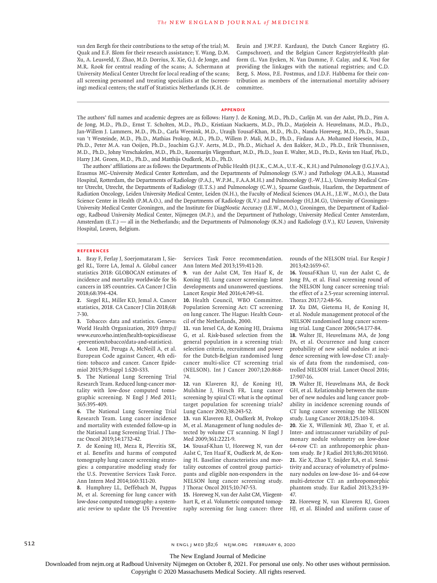van den Bergh for their contributions to the setup of the trial; M. Quak and E.F. Blom for their research assistance; Y. Wang, D.M. Xu, A. Leusveld, Y. Zhao, M.D. Dorrius, X. Xie, G.J. de Jonge, and M.R. Rook for central reading of the scans; A. Schermann at University Medical Center Utrecht for local reading of the scans; all screening personnel and treating specialists at the (screening) medical centers; the staff of Statistics Netherlands (K.H. de

Bruin and J.W.P.F. Kardaun), the Dutch Cancer Registry (G. Campschroer), and the Belgian Cancer Registry/eHealth platform (L. Van Eycken, N. Van Damme, F. Calay, and K. Vos) for providing the linkages with the national registries; and C.D. Berg, S. Moss, P.E. Postmus, and J.D.F. Habbema for their contribution as members of the international mortality advisory committee.

#### **Appendix**

The authors' full names and academic degrees are as follows: Harry J. de Koning, M.D., Ph.D., Carlijn M. van der Aalst, Ph.D., Pim A. de Jong, M.D., Ph.D., Ernst T. Scholten, M.D., Ph.D., Kristiaan Nackaerts, M.D., Ph.D., Marjolein A. Heuvelmans, M.D., Ph.D., Jan-Willem J. Lammers, M.D., Ph.D., Carla Weenink, M.D., Uraujh Yousaf-Khan, M.D., Ph.D., Nanda Horeweg, M.D., Ph.D., Susan van 't Westeinde, M.D., Ph.D., Mathias Prokop, M.D., Ph.D., Willem P. Mali, M.D., Ph.D., Firdaus A.A. Mohamed Hoesein, M.D., Ph.D., Peter M.A. van Ooijen, Ph.D., Joachim G.J.V. Aerts, M.D., Ph.D., Michael A. den Bakker, M.D., Ph.D., Erik Thunnissen, M.D., Ph.D., Johny Verschakelen, M.D., Ph.D., Rozemarijn Vliegenthart, M.D., Ph.D., Joan E. Walter, M.D., Ph.D., Kevin ten Haaf, Ph.D., Harry J.M. Groen, M.D., Ph.D., and Matthijs Oudkerk, M.D., Ph.D.

The authors' affiliations are as follows: the Departments of Public Health (H.J.K., C.M.A., U.Y.-K., K.H.) and Pulmonology (J.G.J.V.A.), Erasmus MC–University Medical Center Rotterdam, and the Departments of Pulmonology (S.W.) and Pathology (M.A.B.), Maasstad Hospital, Rotterdam, the Departments of Radiology (P.A.J., W.P.M., F.A.A.M.H.) and Pulmonology (J.-W.J.L.), University Medical Center Utrecht, Utrecht, the Departments of Radiology (E.T.S.) and Pulmonology (C.W.), Spaarne Gasthuis, Haarlem, the Department of Radiation Oncology, Leiden University Medical Center, Leiden (N.H.), the Faculty of Medical Sciences (M.A.H., J.E.W., M.O.), the Data Science Center in Health (P.M.A.O.), and the Departments of Radiology (R.V.) and Pulmonology (H.J.M.G), University of Groningen– University Medical Center Groningen, and the Institute for DiagNostic Accuracy (J.E.W., M.O.), Groningen, the Department of Radiology, Radboud University Medical Center, Nijmegen (M.P.), and the Department of Pathology, University Medical Center Amsterdam, Amsterdam (E.T.) — all in the Netherlands; and the Departments of Pulmonology (K.N.) and Radiology (J.V.), KU Leuven, University Hospital, Leuven, Belgium.

#### **References**

**1.** Bray F, Ferlay J, Soerjomataram I, Siegel RL, Torre LA, Jemal A. Global cancer statistics 2018: GLOBOCAN estimates of incidence and mortality worldwide for 36 cancers in 185 countries. CA Cancer J Clin 2018;68:394-424.

**2.** Siegel RL, Miller KD, Jemal A. Cancer statistics, 2018. CA Cancer J Clin 2018;68: 7-30.

**3.** Tobacco: data and statistics. Geneva: World Health Organization, 2019 (http:// www.euro.who.int/en/health-topics/disease -prevention/tobacco/data-and-statistics).

**4.** Leon ME, Peruga A, McNeill A, et al. European Code against Cancer, 4th edition: tobacco and cancer. Cancer Epidemiol 2015;39:Suppl 1:S20-S33.

**5.** The National Lung Screening Trial Research Team. Reduced lung-cancer mortality with low-dose computed tomographic screening. N Engl J Med 2011; 365:395-409.

**6.** The National Lung Screening Trial Research Team. Lung cancer incidence and mortality with extended follow-up in the National Lung Screening Trial. J Thorac Oncol 2019;14:1732-42.

**7.** de Koning HJ, Meza R, Plevritis SK, et al. Benefits and harms of computed tomography lung cancer screening strategies: a comparative modeling study for the U.S. Preventive Services Task Force. Ann Intern Med 2014;160:311-20.

**8.** Humphrey LL, Deffebach M, Pappas M, et al. Screening for lung cancer with low-dose computed tomography: a systematic review to update the US Preventive

Services Task Force recommendation. Ann Intern Med 2013;159:411-20.

**9.** van der Aalst CM, Ten Haaf K, de Koning HJ. Lung cancer screening: latest developments and unanswered questions. Lancet Respir Med 2016;4:749-61.

**10.** Health Council, WBO Committee. Population Screening Act: CT screening on lung cancer. The Hague: Health Council of the Netherlands, 2000.

**11.** van Iersel CA, de Koning HJ, Draisma G, et al. Risk-based selection from the general population in a screening trial: selection criteria, recruitment and power for the Dutch-Belgian randomised lung cancer multi-slice CT screening trial (NELSON). Int J Cancer 2007;120:868- 74.

**12.** van Klaveren RJ, de Koning HJ, Mulshine J, Hirsch FR. Lung cancer screening by spiral CT: what is the optimal target population for screening trials? Lung Cancer 2002;38:243-52.

**13.** van Klaveren RJ, Oudkerk M, Prokop M, et al. Management of lung nodules detected by volume CT scanning. N Engl J Med 2009;361:2221-9.

**14.** Yousaf-Khan U, Horeweg N, van der Aalst C, Ten Haaf K, Oudkerk M, de Koning H. Baseline characteristics and mortality outcomes of control group participants and eligible non-responders in the NELSON lung cancer screening study. J Thorac Oncol 2015;10:747-53.

**15.** Horeweg N, van der Aalst CM, Vliegenthart R, et al. Volumetric computed tomography screening for lung cancer: three rounds of the NELSON trial. Eur Respir J 2013;42:1659-67.

**16.** Yousaf-Khan U, van der Aalst C, de Jong PA, et al. Final screening round of the NELSON lung cancer screening trial: the effect of a 2.5-year screening interval. Thorax 2017;72:48-56.

**17.** Xu DM, Gietema H, de Koning H, et al. Nodule management protocol of the NELSON randomised lung cancer screening trial. Lung Cancer 2006;54:177-84.

**18.** Walter JE, Heuvelmans MA, de Jong PA, et al. Occurrence and lung cancer probability of new solid nodules at incidence screening with low-dose CT: analysis of data from the randomised, controlled NELSON trial. Lancet Oncol 2016; 17:907-16.

**19.** Walter JE, Heuvelmans MA, de Bock GH, et al. Relationship between the number of new nodules and lung cancer probability in incidence screening rounds of CT lung cancer screening: the NELSON study. Lung Cancer 2018;125:103-8.

**20.** Xie X, Willemink MJ, Zhao Y, et al. Inter- and intrascanner variability of pulmonary nodule volumetry on low-dose 64-row CT: an anthropomorphic phantom study. Br J Radiol 2013;86:20130160. **21.** Xie X, Zhao Y, Snijder RA, et al. Sensitivity and accuracy of volumetry of pulmonary nodules on low-dose 16- and 64-row multi-detector CT: an anthropomorphic phantom study. Eur Radiol 2013;23:139- 47.

**22.** Horeweg N, van Klaveren RJ, Groen HJ, et al. Blinded and uniform cause of

512 **N ENGL J MED 382;6 NEIM.ORG FEBRUARY 6, 2020** 

The New England Journal of Medicine

Downloaded from nejm.org at Radboud University Nijmegen on October 8, 2021. For personal use only. No other uses without permission.